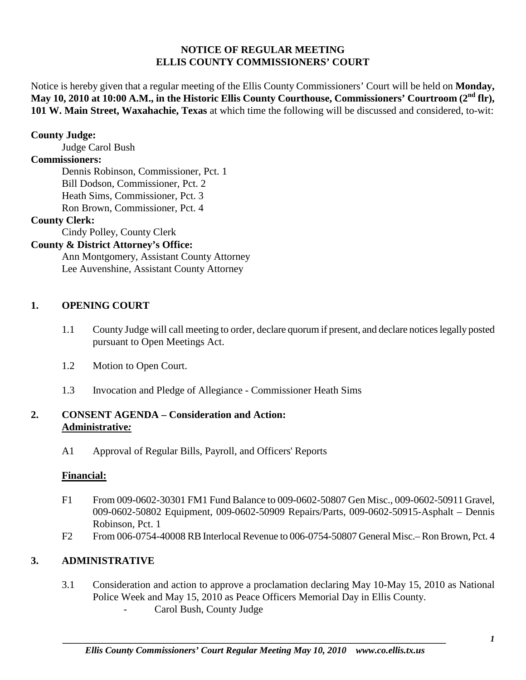### **NOTICE OF REGULAR MEETING ELLIS COUNTY COMMISSIONERS' COURT**

Notice is hereby given that a regular meeting of the Ellis County Commissioners' Court will be held on **Monday, May 10, 2010 at 10:00 A.M., in the Historic Ellis County Courthouse, Commissioners' Courtroom (2nd flr), 101 W. Main Street, Waxahachie, Texas** at which time the following will be discussed and considered, to-wit:

### **County Judge:**

Judge Carol Bush

## **Commissioners:**

Dennis Robinson, Commissioner, Pct. 1 Bill Dodson, Commissioner, Pct. 2 Heath Sims, Commissioner, Pct. 3 Ron Brown, Commissioner, Pct. 4

## **County Clerk:**

Cindy Polley, County Clerk

## **County & District Attorney's Office:**

Ann Montgomery, Assistant County Attorney Lee Auvenshine, Assistant County Attorney

## **1. OPENING COURT**

- 1.1 County Judge will call meeting to order, declare quorum if present, and declare notices legally posted pursuant to Open Meetings Act.
- 1.2 Motion to Open Court.
- 1.3 Invocation and Pledge of Allegiance Commissioner Heath Sims

## **2. CONSENT AGENDA – Consideration and Action: Administrative***:*

A1 Approval of Regular Bills, Payroll, and Officers' Reports

## **Financial:**

- F1 From 009-0602-30301 FM1 Fund Balance to 009-0602-50807 Gen Misc., 009-0602-50911 Gravel, 009-0602-50802 Equipment, 009-0602-50909 Repairs/Parts, 009-0602-50915-Asphalt – Dennis Robinson, Pct. 1
- F2 From 006-0754-40008 RB Interlocal Revenue to 006-0754-50807 General Misc.– Ron Brown, Pct. 4

# **3. ADMINISTRATIVE**

- 3.1 Consideration and action to approve a proclamation declaring May 10-May 15, 2010 as National Police Week and May 15, 2010 as Peace Officers Memorial Day in Ellis County.
	- Carol Bush, County Judge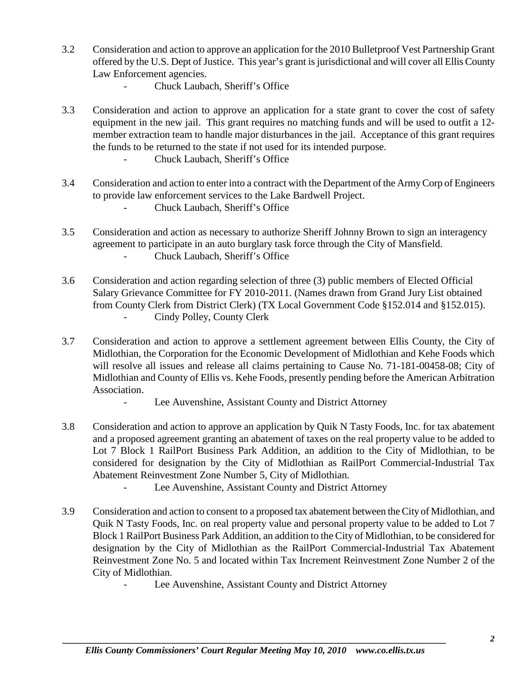- 3.2 Consideration and action to approve an application for the 2010 Bulletproof Vest Partnership Grant offered by the U.S. Dept of Justice. This year's grant is jurisdictional and will cover all Ellis County Law Enforcement agencies.
	- Chuck Laubach, Sheriff's Office
- 3.3 Consideration and action to approve an application for a state grant to cover the cost of safety equipment in the new jail. This grant requires no matching funds and will be used to outfit a 12 member extraction team to handle major disturbances in the jail. Acceptance of this grant requires the funds to be returned to the state if not used for its intended purpose.
	- Chuck Laubach, Sheriff's Office
- 3.4 Consideration and action to enter into a contract with the Department of the Army Corp of Engineers to provide law enforcement services to the Lake Bardwell Project.
	- Chuck Laubach, Sheriff's Office
- 3.5 Consideration and action as necessary to authorize Sheriff Johnny Brown to sign an interagency agreement to participate in an auto burglary task force through the City of Mansfield. - Chuck Laubach, Sheriff's Office
- 3.6 Consideration and action regarding selection of three (3) public members of Elected Official Salary Grievance Committee for FY 2010-2011. (Names drawn from Grand Jury List obtained from County Clerk from District Clerk) (TX Local Government Code §152.014 and §152.015). Cindy Polley, County Clerk
- 3.7 Consideration and action to approve a settlement agreement between Ellis County, the City of Midlothian, the Corporation for the Economic Development of Midlothian and Kehe Foods which will resolve all issues and release all claims pertaining to Cause No. 71-181-00458-08; City of Midlothian and County of Ellis vs. Kehe Foods, presently pending before the American Arbitration Association.
	- Lee Auvenshine, Assistant County and District Attorney
- 3.8 Consideration and action to approve an application by Quik N Tasty Foods, Inc. for tax abatement and a proposed agreement granting an abatement of taxes on the real property value to be added to Lot 7 Block 1 RailPort Business Park Addition, an addition to the City of Midlothian, to be considered for designation by the City of Midlothian as RailPort Commercial-Industrial Tax Abatement Reinvestment Zone Number 5, City of Midlothian.

- Lee Auvenshine, Assistant County and District Attorney

- 3.9 Consideration and action to consent to a proposed tax abatement between the City of Midlothian, and Quik N Tasty Foods, Inc. on real property value and personal property value to be added to Lot 7 Block 1 RailPort Business Park Addition, an addition to the City of Midlothian, to be considered for designation by the City of Midlothian as the RailPort Commercial-Industrial Tax Abatement Reinvestment Zone No. 5 and located within Tax Increment Reinvestment Zone Number 2 of the City of Midlothian.
	- Lee Auvenshine, Assistant County and District Attorney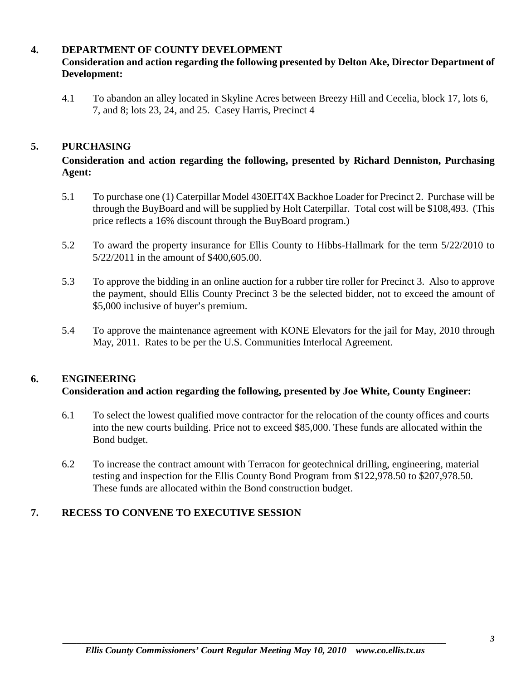## **4. DEPARTMENT OF COUNTY DEVELOPMENT**

# **Consideration and action regarding the following presented by Delton Ake, Director Department of Development:**

4.1 To abandon an alley located in Skyline Acres between Breezy Hill and Cecelia, block 17, lots 6, 7, and 8; lots 23, 24, and 25. Casey Harris, Precinct 4

## **5. PURCHASING**

## **Consideration and action regarding the following, presented by Richard Denniston, Purchasing Agent:**

- 5.1 To purchase one (1) Caterpillar Model 430EIT4X Backhoe Loader for Precinct 2. Purchase will be through the BuyBoard and will be supplied by Holt Caterpillar. Total cost will be \$108,493. (This price reflects a 16% discount through the BuyBoard program.)
- 5.2 To award the property insurance for Ellis County to Hibbs-Hallmark for the term 5/22/2010 to 5/22/2011 in the amount of \$400,605.00.
- 5.3 To approve the bidding in an online auction for a rubber tire roller for Precinct 3. Also to approve the payment, should Ellis County Precinct 3 be the selected bidder, not to exceed the amount of \$5,000 inclusive of buyer's premium.
- 5.4 To approve the maintenance agreement with KONE Elevators for the jail for May, 2010 through May, 2011. Rates to be per the U.S. Communities Interlocal Agreement.

## **6. ENGINEERING**

### **Consideration and action regarding the following, presented by Joe White, County Engineer:**

- 6.1 To select the lowest qualified move contractor for the relocation of the county offices and courts into the new courts building. Price not to exceed \$85,000. These funds are allocated within the Bond budget.
- 6.2 To increase the contract amount with Terracon for geotechnical drilling, engineering, material testing and inspection for the Ellis County Bond Program from \$122,978.50 to \$207,978.50. These funds are allocated within the Bond construction budget.

## **7. RECESS TO CONVENE TO EXECUTIVE SESSION**